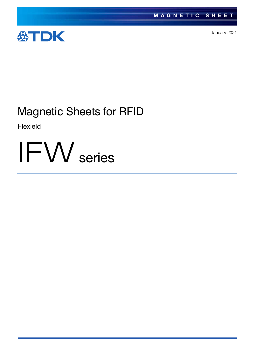

January 2021

# Magnetic Sheets for RFID

Flexield

IFW series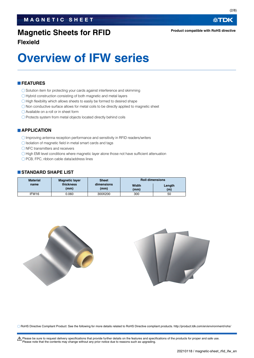## **Magnetic Sheets for RFID**

**Flexield**

# **Overview of IFW series**

#### **FEATURES**

- O Solution item for protecting your cards against interference and skimming
- Hybrid construction consisting of both magnetic and metal layers
- $\bigcirc$  High flexibility which allows sheets to easily be formed to desired shape
- $\bigcirc$  Non conductive surface allows for metal coils to be directly applied to magnetic sheet
- Available on a roll or in sheet form
- $\bigcirc$  Protects system from metal objects located directly behind coils

#### **APPLICATION**

- Improving antenna reception performance and sensitivity in RFID readers/writers
- $\bigcirc$  Isolation of magnetic field in metal smart cards and tags
- $\bigcirc$  NFC transmitters and receivers
- O High EMI level conditions where magnetic layer alone those not have sufficient attenuation
- ◯ PCB, FPC, ribbon cable data/address lines

#### **STANDARD SHAPE LIST**

| <b>Material</b>   | <b>Magnetic layer</b> | <b>Sheet</b>       | <b>Roll dimensions</b> |               |  |
|-------------------|-----------------------|--------------------|------------------------|---------------|--|
| name              | thickness<br>(mm)     | dimensions<br>(mm) | Width<br>(mm)          | Length<br>(m) |  |
| IFW <sub>16</sub> | 0.060                 | 300X200            | 300                    | 50            |  |



RoHS Directive Compliant Product: See the following for more details related to RoHS Directive compliant products. http://product.tdk.com/en/environment/rohs/

A Please be sure to request delivery specifications that provide further details on the features and specifications of the products for proper and safe use. Please note that the contents may change without any prior notice due to reasons such as upgrading.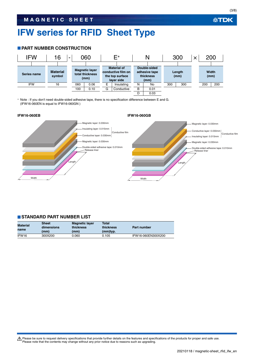# **IFW series for RFID Sheet Type**

#### **PART NUMBER CONSTRUCTION**



 Note : If you don't need double-sided adhesive tape, there is no specification difference between E and G. (IFW16-060EN is equal to IFW16-060GN )



#### **STANDARD PART NUMBER LIST**

| <b>Material</b><br>name | <b>Sheet</b><br>dimensions<br>(mm) | <b>Magnetic layer</b><br>thickness<br>(mm) | <b>Total</b><br>thickness<br>(mm)typ. | Part number        |
|-------------------------|------------------------------------|--------------------------------------------|---------------------------------------|--------------------|
| IFW <sub>16</sub>       | 300X200                            | 0.060                                      | 0.105                                 | IFW16-060EN300X200 |

t Please be sure to request delivery specifications that provide further details on the features and specifications of the products for proper and safe use. Please note that the contents may change without any prior notice due to reasons such as upgrading.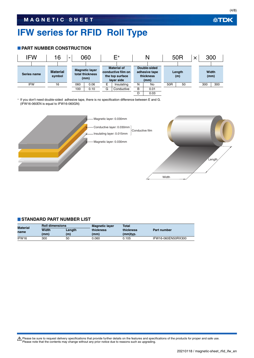# **IFW series for RFID Roll Type**

#### **PART NUMBER CONSTRUCTION**



\* If you don't need double-sided adhesive tape, there is no specification difference between E and G. (IFW16-060EN is equal to IFW16-060GN)



#### **STANDARD PART NUMBER LIST**

| <b>Material</b><br>name | <b>Roll dimensions</b> |     | <b>Magnetic layer</b> | <b>Total</b> |                    |  |
|-------------------------|------------------------|-----|-----------------------|--------------|--------------------|--|
|                         | Width<br>Lenath        |     | thickness             | thickness    | Part number        |  |
|                         | (mm)                   | (m) | (mm)                  | (mm)typ.     |                    |  |
| IFW16                   | 300                    | 50  | 0.060                 | 0.105        | IFW16-060EN50RX300 |  |

Please be sure to request delivery specifications that provide further details on the features and specifications of the products for proper and safe use.<br>Please note that the contents may change without any prior notice d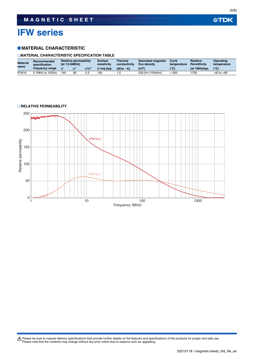# **IFW series**

#### **MATERIAL CHARACTERISTIC**

#### **MATERIAL CHARACTERISTIC SPECIFICATION TABLE**

| <b>Material</b><br>name | Recommended<br>specification | <b>Relative permeability</b><br><b>fat 13.56MHz1</b> |    | Surface<br>resistivity | <b>Thermal</b><br>conductivity | <b>Saturated magnetic</b><br>flux density | Curie<br>temperature | <b>Relative</b><br><b>Permittivity</b> | Operating<br>temperature |                |
|-------------------------|------------------------------|------------------------------------------------------|----|------------------------|--------------------------------|-------------------------------------------|----------------------|----------------------------------------|--------------------------|----------------|
|                         | frequency range              |                                                      |    | u'/u"                  | $(\Omega/\text{sq.})$ typ.     | $(W/m \cdot K)$                           | (mT                  | (°C)                                   | (at 1MHz)typ.            | $(^{\circ}C)$  |
| IFW16                   | 0.1 MHz to 10 GHz            | 140                                                  | 60 | 2.3                    | 10k                            | نۍ                                        | 230 [H=1194A/m]      | 500                                    | '700                     | $-40$ to $+85$ |

#### **RELATIVE PERMEABILITY**



Please be sure to request delivery specifications that provide further details on the features and specifications of the products for proper and safe use.<br>Please note that the contents may change without any prior notice d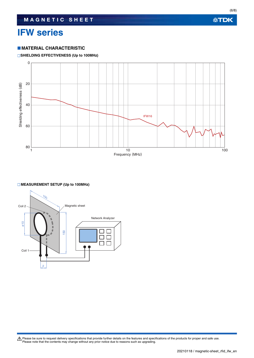# **IFW series**

#### **MATERIAL CHARACTERISTIC**

#### **SHIELDING EFFECTIVENESS (Up to 100MHz)**



#### **MEASUREMENT SETUP (Up to 100MHz)**



Please be sure to request delivery specifications that provide further details on the features and specifications of the products for proper and safe use.<br>Please note that the contents may change without any prior notice d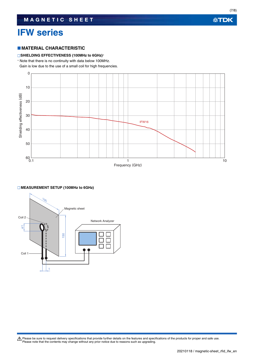## **IFW series**

#### **MATERIAL CHARACTERISTIC**

#### **SHIELDING EFFECTIVENESS (100MHz to 6GHz)\***

Note that there is no continuity with data below 100MHz.

Gain is low due to the use of a small coil for high frequencies.



#### **MEASUREMENT SETUP (100MHz to 6GHz)**



Please be sure to request delivery specifications that provide further details on the features and specifications of the products for proper and safe use.<br>Please note that the contents may change without any prior notice d